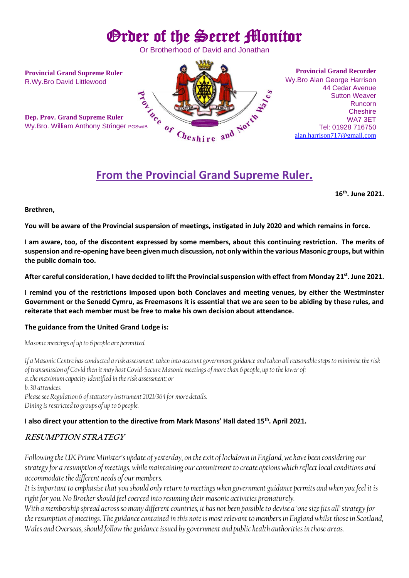# Order of the Secret Monitor

Or Brotherhood of David and Jonathan

**Provincial Grand Supreme Ruler** R.Wy.Bro David Littlewood

**Dep. Prov. Grand Supreme Ruler**



**Provincial Grand Recorder** Wy.Bro Alan George Harrison 44 Cedar Avenue Sutton Weaver Runcorn **Cheshire** WA7 3ET Tel: 01928 716750 [alan.harrison717@gmail.com](mailto:alan.harrison717@gmail.com)

## **From the Provincial Grand Supreme Ruler.**

**16 th. June 2021.**

#### **Brethren,**

**You will be aware of the Provincial suspension of meetings, instigated in July 2020 and which remains in force.**

**I am aware, too, of the discontent expressed by some members, about this continuing restriction. The merits of suspension and re-opening have been given much discussion, not only within the various Masonic groups, but within the public domain too.**

**After careful consideration, I have decided to lift the Provincial suspension with effect from Monday 21 st . June 2021.**

**I remind you of the restrictions imposed upon both Conclaves and meeting venues, by either the Westminster Government or the Senedd Cymru, as Freemasons it is essential that we are seen to be abiding by these rules, and reiterate that each member must be free to make his own decision about attendance.**

#### **The guidance from the United Grand Lodge is:**

*Masonic meetings of up to 6 people are permitted.*

*If a Masonic Centre has conducted a risk assessment, taken into account government guidance and taken all reasonable steps to minimise the risk of transmission of Covid then it may host Covid-Secure Masonic meetings of more than 6 people, up to the lower of: a. the maximum capacity identified in the risk assessment; or b. 30 attendees. Please see Regulation 6 of statutory instrument 2021/364 for more details. Dining is restricted to groups of up to 6 people.*

#### **I also direct your attention to the directive from Mark Masons' Hall dated 15th. April 2021.**

### **RESUMPTION STRATEGY**

*Following the UK Prime Minister's update of yesterday, on theexit of lockdown in England, we have been considering our strategy for a resumption of meetings, while maintaining our commitment to create options which reflect local conditions and accommodate the different needs of our members.* 

*It is important to emphasise that you should only return to meetings when government guidance permits and when you feel it is right for you. No Brother should feel coerced into resuming their masonic activities prematurely.* 

*With a membership spread across so many different countries, it has not been possible to devise a 'one size fits all' strategy for the resumption of meetings. The guidance contained in this note is most relevant to members in England whilst those in Scotland, Wales and Overseas, should follow the guidance issued by government and public health authorities in those areas.*